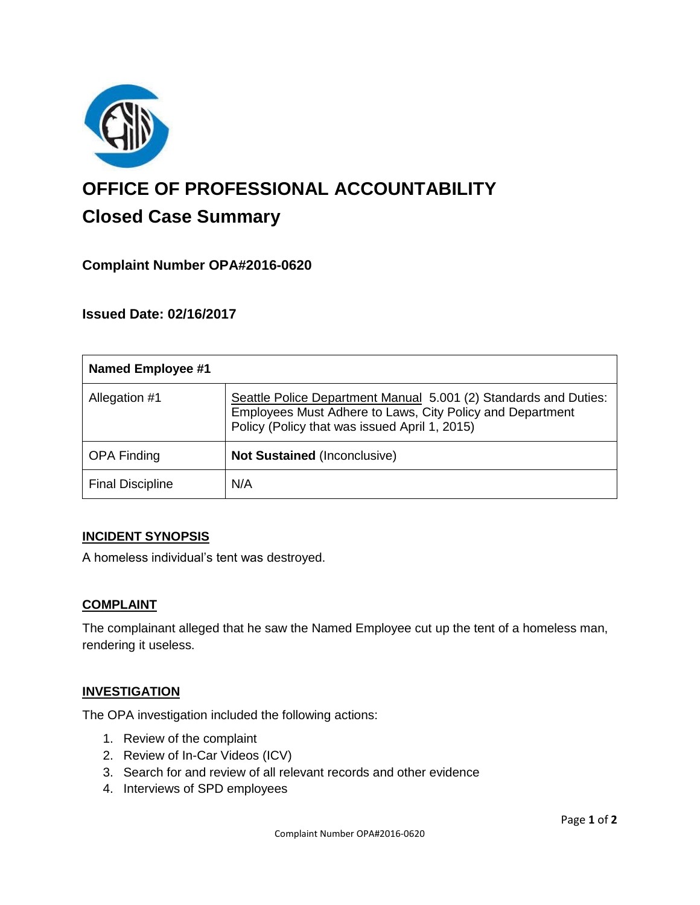

# **OFFICE OF PROFESSIONAL ACCOUNTABILITY Closed Case Summary**

## **Complaint Number OPA#2016-0620**

## **Issued Date: 02/16/2017**

| <b>Named Employee #1</b> |                                                                                                                                                                                |
|--------------------------|--------------------------------------------------------------------------------------------------------------------------------------------------------------------------------|
| Allegation #1            | Seattle Police Department Manual 5.001 (2) Standards and Duties:<br>Employees Must Adhere to Laws, City Policy and Department<br>Policy (Policy that was issued April 1, 2015) |
| <b>OPA Finding</b>       | Not Sustained (Inconclusive)                                                                                                                                                   |
| <b>Final Discipline</b>  | N/A                                                                                                                                                                            |

#### **INCIDENT SYNOPSIS**

A homeless individual's tent was destroyed.

#### **COMPLAINT**

The complainant alleged that he saw the Named Employee cut up the tent of a homeless man, rendering it useless.

#### **INVESTIGATION**

The OPA investigation included the following actions:

- 1. Review of the complaint
- 2. Review of In-Car Videos (ICV)
- 3. Search for and review of all relevant records and other evidence
- 4. Interviews of SPD employees